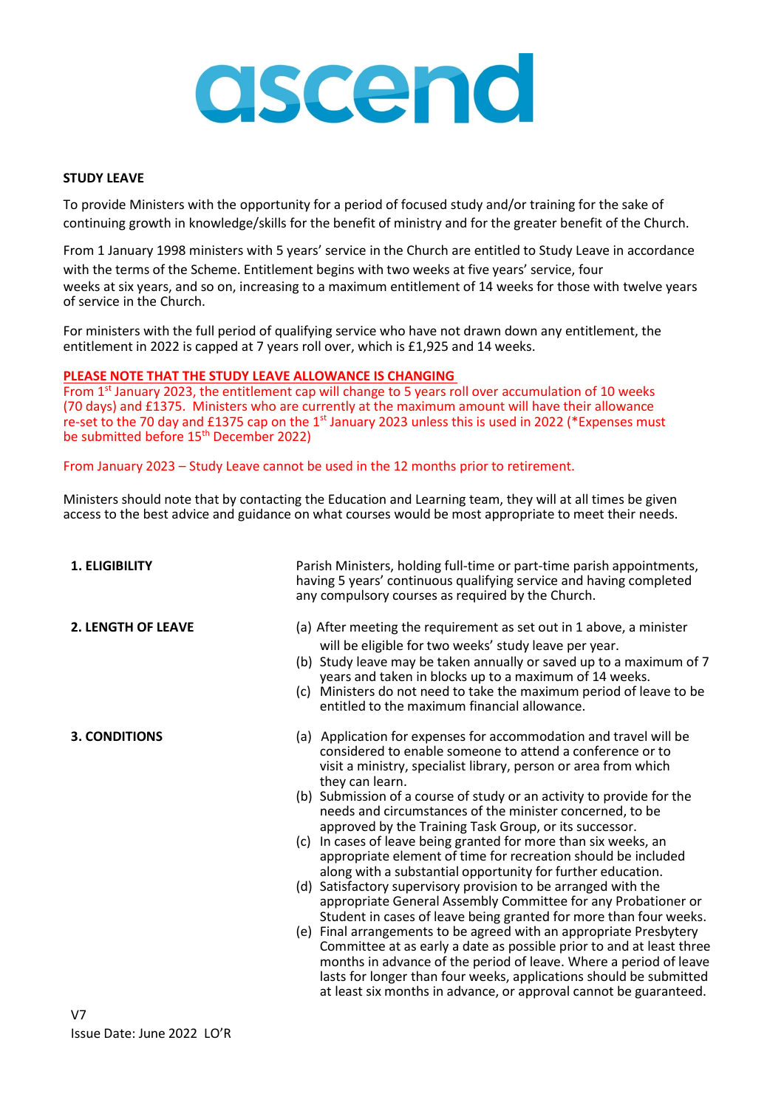# ascend

## **STUDY LEAVE**

To provide Ministers with the opportunity for a period of focused study and/or training for the sake of continuing growth in knowledge/skills for the benefit of ministry and for the greater benefit of the Church.

From 1 January 1998 ministers with 5 years' service in the Church are entitled to Study Leave in accordance with the terms of the Scheme. Entitlement begins with two weeks at five years' service, four weeks at six years, and so on, increasing to a maximum entitlement of 14 weeks for those with twelve years of service in the Church.

For ministers with the full period of qualifying service who have not drawn down any entitlement, the entitlement in 2022 is capped at 7 years roll over, which is £1,925 and 14 weeks.

### **PLEASE NOTE THAT THE STUDY LEAVE ALLOWANCE IS CHANGING**

From 1<sup>st</sup> January 2023, the entitlement cap will change to 5 years roll over accumulation of 10 weeks (70 days) and £1375. Ministers who are currently at the maximum amount will have their allowance re-set to the 70 day and £1375 cap on the 1<sup>st</sup> January 2023 unless this is used in 2022 (\*Expenses must be submitted before 15<sup>th</sup> December 2022)

From January 2023 – Study Leave cannot be used in the 12 months prior to retirement.

Ministers should note that by contacting the Education and Learning team, they will at all times be given access to the best advice and guidance on what courses would be most appropriate to meet their needs.

**1. ELIGIBILITY** Parish Ministers, holding full-time or part-time parish appointments, having 5 years' continuous qualifying service and having completed any compulsory courses as required by the Church.

- **2. LENGTH OF LEAVE** (a) After meeting the requirement as set out in 1 above, a minister will be eligible for two weeks' study leave per year.
	- (b) Study leave may be taken annually or saved up to a maximum of 7 years and taken in blocks up to a maximum of 14 weeks.
	- (c) Ministers do not need to take the maximum period of leave to be entitled to the maximum financial allowance.
- **3. CONDITIONS** (a) Application for expenses for accommodation and travel will be considered to enable someone to attend a conference or to visit a ministry, specialist library, person or area from which they can learn.
	- (b) Submission of a course of study or an activity to provide for the needs and circumstances of the minister concerned, to be approved by the Training Task Group, or its successor.
	- (c) In cases of leave being granted for more than six weeks, an appropriate element of time for recreation should be included along with a substantial opportunity for further education.
	- (d) Satisfactory supervisory provision to be arranged with the appropriate General Assembly Committee for any Probationer or Student in cases of leave being granted for more than four weeks.
	- (e) Final arrangements to be agreed with an appropriate Presbytery Committee at as early a date as possible prior to and at least three months in advance of the period of leave. Where a period of leave lasts for longer than four weeks, applications should be submitted at least six months in advance, or approval cannot be guaranteed.